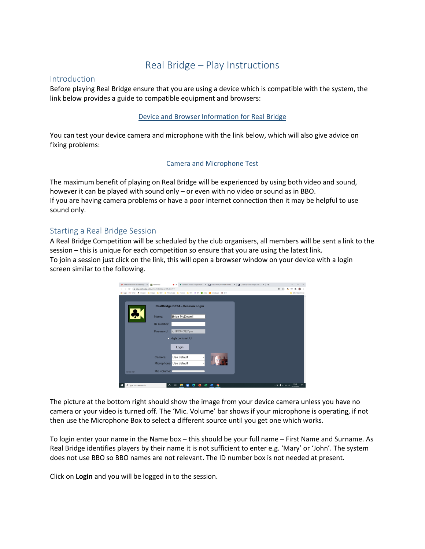# Real Bridge – Play Instructions

### **Introduction**

Before playing Real Bridge ensure that you are using a device which is compatible with the system, the link below provides a guide to compatible equipment and browsers:

#### [Device and Browser Information for Real Bridge](https://www.bridgewebs.com/uuc/Real%20Bridge%20Browser%20Information.pdf)

You can test your device camera and microphone with the link below, which will also give advice on fixing problems:

#### [Camera and Microphone Test](https://play.realbridge.online/camera.html)

The maximum benefit of playing on Real Bridge will be experienced by using both video and sound, however it can be played with sound only – or even with no video or sound as in BBO. If you are having camera problems or have a poor internet connection then it may be helpful to use sound only.

#### Starting a Real Bridge Session

A Real Bridge Competition will be scheduled by the club organisers, all members will be sent a link to the session – this is unique for each competition so ensure that you are using the latest link. To join a session just click on the link, this will open a browser window on your device with a login screen similar to the following.



The picture at the bottom right should show the image from your device camera unless you have no camera or your video is turned off. The 'Mic. Volume' bar shows if your microphone is operating, if not then use the Microphone Box to select a different source until you get one which works.

To login enter your name in the Name box – this should be your full name – First Name and Surname. As Real Bridge identifies players by their name it is not sufficient to enter e.g. 'Mary' or 'John'. The system does not use BBO so BBO names are not relevant. The ID number box is not needed at present.

Click on **Login** and you will be logged in to the session.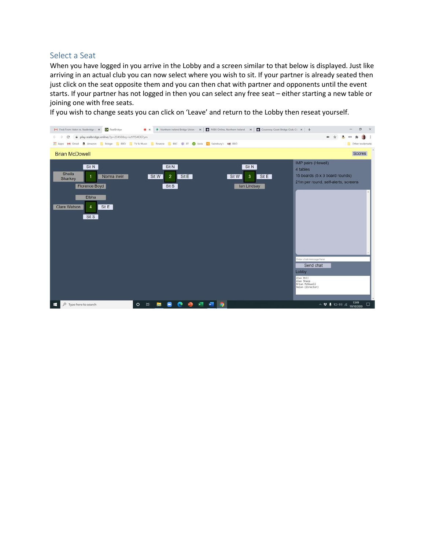#### Select a Seat

When you have logged in you arrive in the Lobby and a screen similar to that below is displayed. Just like arriving in an actual club you can now select where you wish to sit. If your partner is already seated then just click on the seat opposite them and you can then chat with partner and opponents until the event starts. If your partner has not logged in then you can select any free seat – either starting a new table or joining one with free seats.

If you wish to change seats you can click on 'Leave' and return to the Lobby then reseat yourself.

| M Fwd: From Helen re. Realbridge : X . BealBridge                                                               | ® ×                                                                                                      | Niethern Ireland Bridge Union - x   Nieu Online, Northern Ireland x   Causeway Coast Bridge Club, Co x   + | σ<br>$\times$                                                                                                                                                                                                                                                                                                                                                                                                           |
|-----------------------------------------------------------------------------------------------------------------|----------------------------------------------------------------------------------------------------------|------------------------------------------------------------------------------------------------------------|-------------------------------------------------------------------------------------------------------------------------------------------------------------------------------------------------------------------------------------------------------------------------------------------------------------------------------------------------------------------------------------------------------------------------|
| play.realbridge.online/?p=23450&q=iu1PfS4OE7ym<br>C<br>$\leftarrow$ $\rightarrow$                               |                                                                                                          |                                                                                                            | an-                                                                                                                                                                                                                                                                                                                                                                                                                     |
|                                                                                                                 | The Apps M Gmail & Amazon T, Bridge BBO T TV & Music T, Finance B, BBC @ BT C Asda S Sainsbury's 190 BBO |                                                                                                            | Other bookmarks<br>H                                                                                                                                                                                                                                                                                                                                                                                                    |
| <b>Brian McDowell</b>                                                                                           |                                                                                                          |                                                                                                            | Scores                                                                                                                                                                                                                                                                                                                                                                                                                  |
| Sit N<br>Sheila<br>Norma Irwin<br>1<br>Sharkey<br>Florence Boyd<br>Elbha<br>Clare Watson<br>Sit E<br>4<br>Sit S | Sit N<br>Sit E<br>Sit W<br>$\overline{2}$<br>Sit S                                                       | Sit N<br>Sit E<br>Sit W<br>$\mathbf{3}$<br>lan Lindsay                                                     | IMP pairs (Howell)<br>4 tables<br>15 boards (5 x 3 board rounds)<br>21m per round, self-alerts, screens<br>Enter chat message here<br>Send chat<br>Lobby<br>Alan Hill<br>Alan Sharp<br>Brian McDowell<br>Helen (Director)                                                                                                                                                                                               |
| $O$ Type here to search<br>÷                                                                                    | $\circ$<br>Ħf<br><b>FB</b><br>w.                                                                         | o                                                                                                          | $\begin{array}{c}\wedge\end{array}$ $\begin{array}{c}\n\bullet\end{array}$ $\begin{array}{c}\bullet\end{array}$ $\begin{array}{c}\bullet\end{array}$ $\begin{array}{c}\bullet\end{array}$ $\begin{array}{c}\bullet\end{array}$ $\begin{array}{c}\bullet\end{array}$ $\begin{array}{c}\bullet\end{array}$ $\begin{array}{c}\bullet\end{array}$ $\begin{array}{c}\bullet\end{array}$ $\begin{array}{c}\bullet\end{array}$ |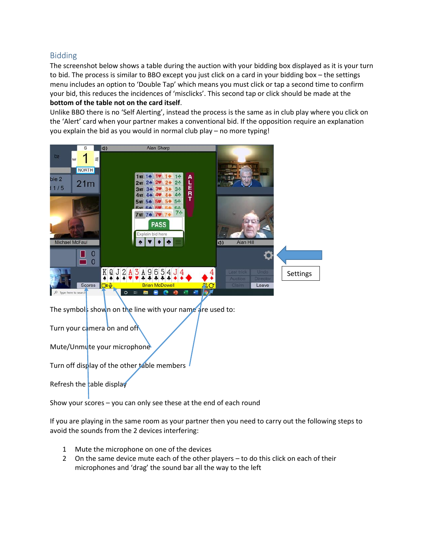## Bidding

The screenshot below shows a table during the auction with your bidding box displayed as it is your turn to bid. The process is similar to BBO except you just click on a card in your bidding box – the settings menu includes an option to 'Double Tap' which means you must click or tap a second time to confirm your bid, this reduces the incidences of 'misclicks'. This second tap or click should be made at the **bottom of the table not on the card itself**.

Unlike BBO there is no 'Self Alerting', instead the process is the same as in club play where you click on the 'Alert' card when your partner makes a conventional bid. If the opposition require an explanation you explain the bid as you would in normal club play – no more typing!



The symbols shown on the line with your name are used to:

Turn your camera on and off

Mute/Unmute your microphone

Turn off display of the other table members

Refresh the table display

Show your scores – you can only see these at the end of each round

If you are playing in the same room as your partner then you need to carry out the following steps to avoid the sounds from the 2 devices interfering:

- 1 Mute the microphone on one of the devices
- 2 On the same device mute each of the other players to do this click on each of their microphones and 'drag' the sound bar all the way to the left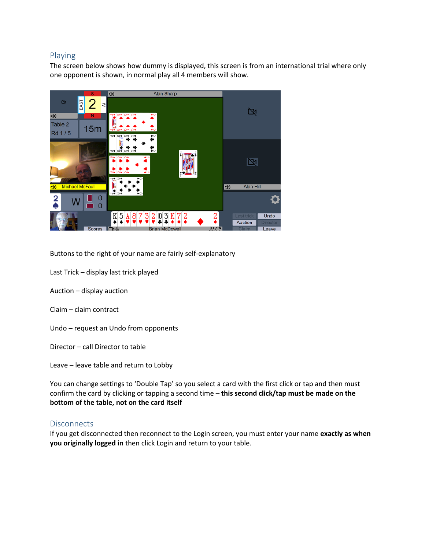# Playing

The screen below shows how dummy is displayed, this screen is from an international trial where only one opponent is shown, in normal play all 4 members will show.



Buttons to the right of your name are fairly self-explanatory

- Last Trick display last trick played
- Auction display auction
- Claim claim contract
- Undo request an Undo from opponents

Director – call Director to table

Leave – leave table and return to Lobby

You can change settings to 'Double Tap' so you select a card with the first click or tap and then must confirm the card by clicking or tapping a second time – **this second click/tap must be made on the bottom of the table, not on the card itself**

## **Disconnects**

If you get disconnected then reconnect to the Login screen, you must enter your name **exactly as when you originally logged in** then click Login and return to your table.